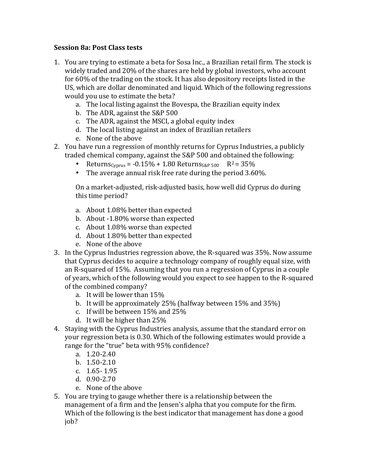## **Session 8a: Post Class tests**

- 1. You are trying to estimate a beta for Sosa Inc., a Brazilian retail firm. The stock is widely traded and 20% of the shares are held by global investors, who account for  $60\%$  of the trading on the stock. It has also depository receipts listed in the US, which are dollar denominated and liquid. Which of the following regressions would you use to estimate the beta?
	- a. The local listing against the Bovespa, the Brazilian equity index
	- b. The ADR, against the S&P 500
	- c. The ADR, against the MSCI, a global equity index
	- d. The local listing against an index of Brazilian retailers
	- e. None of the above
- 2. You have run a regression of monthly returns for Cyprus Industries, a publicly traded chemical company, against the S&P 500 and obtained the following:
	- $Returns<sub>Cvprus</sub> = -0.15% + 1.80$  Returnss&P 500  $R^2 = 35%$
	- The average annual risk free rate during the period  $3.60\%$ .

On a market-adjusted, risk-adjusted basis, how well did Cyprus do during this time period?

- a. About 1.08% better than expected
- b. About  $-1.80\%$  worse than expected
- c. About 1.08% worse than expected
- d. About 1.80% better than expected
- e. None of the above
- 3. In the Cyprus Industries regression above, the R-squared was 35%. Now assume that Cyprus decides to acquire a technology company of roughly equal size, with an R-squared of  $15\%$ . Assuming that you run a regression of Cyprus in a couple of years, which of the following would you expect to see happen to the R-squared of the combined company?
	- a. It will be lower than 15%
	- b. It will be approximately 25% (halfway between  $15\%$  and  $35\%$ )
	- c. If will be between 15% and 25%
	- d. It will be higher than  $25%$
- 4. Staying with the Cyprus Industries analysis, assume that the standard error on your regression beta is 0.30. Which of the following estimates would provide a range for the "true" beta with 95% confidence?
	- a. 1.20-2.40
	- b. 1.50-2.10
	- c. 1.65- 1.95
	- d. 0.90-2.70
	- e. None of the above
- 5. You are trying to gauge whether there is a relationship between the management of a firm and the Jensen's alpha that you compute for the firm. Which of the following is the best indicator that management has done a good job?